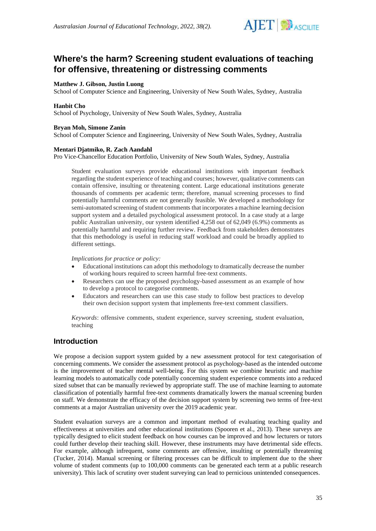

# **Where's the harm? Screening student evaluations of teaching for offensive, threatening or distressing comments**

### **Matthew J. Gibson, Justin Luong**

School of Computer Science and Engineering, University of New South Wales, Sydney, Australia

#### **Hanbit Cho**

School of Psychology, University of New South Wales, Sydney, Australia

#### **Bryan Moh, Simone Zanin**

School of Computer Science and Engineering, University of New South Wales, Sydney, Australia

#### **Mentari Djatmiko, R. Zach Aandahl**

Pro Vice-Chancellor Education Portfolio, University of New South Wales, Sydney, Australia

Student evaluation surveys provide educational institutions with important feedback regarding the student experience of teaching and courses; however, qualitative comments can contain offensive, insulting or threatening content. Large educational institutions generate thousands of comments per academic term; therefore, manual screening processes to find potentially harmful comments are not generally feasible. We developed a methodology for semi-automated screening of student comments that incorporates a machine learning decision support system and a detailed psychological assessment protocol. In a case study at a large public Australian university, our system identified 4,258 out of 62,049 (6.9%) comments as potentially harmful and requiring further review. Feedback from stakeholders demonstrates that this methodology is useful in reducing staff workload and could be broadly applied to different settings.

### *Implications for practice or policy:*

- Educational institutions can adopt this methodology to dramatically decrease the number of working hours required to screen harmful free-text comments.
- Researchers can use the proposed psychology-based assessment as an example of how to develop a protocol to categorise comments.
- Educators and researchers can use this case study to follow best practices to develop their own decision support system that implements free-text comment classifiers.

*Keywords*: offensive comments, student experience, survey screening, student evaluation, teaching

### **Introduction**

We propose a decision support system guided by a new assessment protocol for text categorisation of concerning comments. We consider the assessment protocol as psychology-based as the intended outcome is the improvement of teacher mental well-being. For this system we combine heuristic and machine learning models to automatically code potentially concerning student experience comments into a reduced sized subset that can be manually reviewed by appropriate staff. The use of machine learning to automate classification of potentially harmful free-text comments dramatically lowers the manual screening burden on staff. We demonstrate the efficacy of the decision support system by screening two terms of free-text comments at a major Australian university over the 2019 academic year.

Student evaluation surveys are a common and important method of evaluating teaching quality and effectiveness at universities and other educational institutions (Spooren et al., 2013). These surveys are typically designed to elicit student feedback on how courses can be improved and how lecturers or tutors could further develop their teaching skill. However, these instruments may have detrimental side effects. For example, although infrequent, some comments are offensive, insulting or potentially threatening (Tucker, 2014). Manual screening or filtering processes can be difficult to implement due to the sheer volume of student comments (up to 100,000 comments can be generated each term at a public research university). This lack of scrutiny over student surveying can lead to pernicious unintended consequences.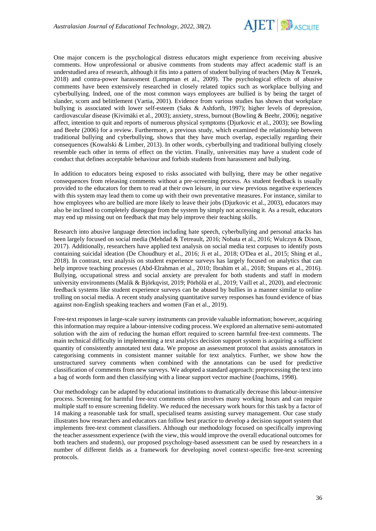

One major concern is the psychological distress educators might experience from receiving abusive comments. How unprofessional or abusive comments from students may affect academic staff is an understudied area of research, although it fits into a pattern of student bullying of teachers (May & Tenzek, 2018) and contra-power harassment (Lampman et al., 2009). The psychological effects of abusive comments have been extensively researched in closely related topics such as workplace bullying and cyberbullying. Indeed, one of the most common ways employees are bullied is by being the target of slander, scorn and belittlement (Vartia, 2001). Evidence from various studies has shown that workplace bullying is associated with lower self-esteem (Saks & Ashforth, 1997); higher levels of depression, cardiovascular disease (Kivimäki et al., 2003); anxiety, stress, burnout (Bowling & Beehr, 2006); negative affect, intention to quit and reports of numerous physical symptoms (Djurkovic et al., 2003); see Bowling and Beehr (2006) for a review. Furthermore, a previous study, which examined the relationship between traditional bullying and cyberbullying, shows that they have much overlap, especially regarding their consequences (Kowalski & Limber, 2013). In other words, cyberbullying and traditional bullying closely resemble each other in terms of effect on the victim. Finally, universities may have a student code of conduct that defines acceptable behaviour and forbids students from harassment and bullying.

In addition to educators being exposed to risks associated with bullying, there may be other negative consequences from releasing comments without a pre-screening process. As student feedback is usually provided to the educators for them to read at their own leisure, in our view previous negative experiences with this system may lead them to come up with their own preventative measures. For instance, similar to how employees who are bullied are more likely to leave their jobs (Djurkovic et al., 2003), educators may also be inclined to completely disengage from the system by simply not accessing it. As a result, educators may end up missing out on feedback that may help improve their teaching skills.

Research into abusive language detection including hate speech, cyberbullying and personal attacks has been largely focused on social media (Mehdad & Tetreault, 2016; Nobata et al., 2016; Wulczyn & Dixon, 2017). Additionally, researchers have applied text analysis on social media text corpuses to identify posts containing suicidal ideation (De Choudhury et al., 2016; Ji et al., 2018; O'Dea et al., 2015; Shing et al., 2018). In contrast, text analysis on student experience surveys has largely focused on analytics that can help improve teaching processes (Abd-Elrahman et al., 2010; Ibrahim et al., 2018; Stupans et al., 2016). Bullying, occupational stress and social anxiety are prevalent for both students and staff in modern university environments (Malik & Björkqvist, 2019; Pörhölä et al., 2019; Vaill et al., 2020), and electronic feedback systems like student experience surveys can be abused by bullies in a manner similar to online trolling on social media. A recent study analysing quantitative survey responses has found evidence of bias against non-English speaking teachers and women (Fan et al., 2019).

Free-text responses in large-scale survey instruments can provide valuable information; however, acquiring this information may require a labour-intensive coding process. We explored an alternative semi-automated solution with the aim of reducing the human effort required to screen harmful free-text comments. The main technical difficulty in implementing a text analytics decision support system is acquiring a sufficient quantity of consistently annotated text data. We propose an assessment protocol that assists annotators in categorising comments in consistent manner suitable for text analytics. Further, we show how the unstructured survey comments when combined with the annotations can be used for predictive classification of comments from new surveys. We adopted a standard approach: preprocessing the text into a bag of words form and then classifying with a linear support vector machine (Joachims, 1998).

Our methodology can be adapted by educational institutions to dramatically decrease this labour-intensive process. Screening for harmful free-text comments often involves many working hours and can require multiple staff to ensure screening fidelity. We reduced the necessary work hours for this task by a factor of 14 making a reasonable task for small, specialised teams assisting survey management. Our case study illustrates how researchers and educators can follow best practice to develop a decision support system that implements free-text comment classifiers. Although our methodology focused on specifically improving the teacher assessment experience (with the view, this would improve the overall educational outcomes for both teachers and students), our proposed psychology-based assessment can be used by researchers in a number of different fields as a framework for developing novel context-specific free-text screening protocols.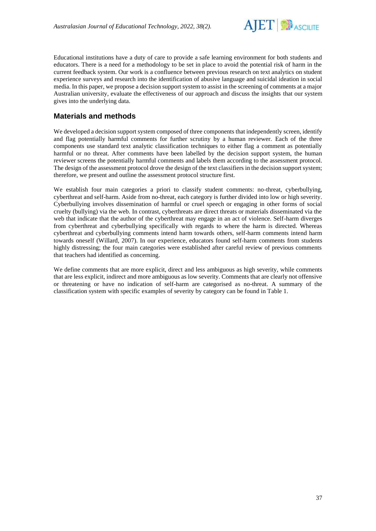

Educational institutions have a duty of care to provide a safe learning environment for both students and educators. There is a need for a methodology to be set in place to avoid the potential risk of harm in the current feedback system. Our work is a confluence between previous research on text analytics on student experience surveys and research into the identification of abusive language and suicidal ideation in social media. In this paper, we propose a decision support system to assist in the screening of comments at a major Australian university, evaluate the effectiveness of our approach and discuss the insights that our system gives into the underlying data.

# **Materials and methods**

We developed a decision support system composed of three components that independently screen, identify and flag potentially harmful comments for further scrutiny by a human reviewer. Each of the three components use standard text analytic classification techniques to either flag a comment as potentially harmful or no threat. After comments have been labelled by the decision support system, the human reviewer screens the potentially harmful comments and labels them according to the assessment protocol. The design of the assessment protocol drove the design of the text classifiers in the decision support system; therefore, we present and outline the assessment protocol structure first.

We establish four main categories a priori to classify student comments: no-threat, cyberbullying, cyberthreat and self-harm. Aside from no-threat, each category is further divided into low or high severity. Cyberbullying involves dissemination of harmful or cruel speech or engaging in other forms of social cruelty (bullying) via the web. In contrast, cyberthreats are direct threats or materials disseminated via the web that indicate that the author of the cyberthreat may engage in an act of violence. Self-harm diverges from cyberthreat and cyberbullying specifically with regards to where the harm is directed. Whereas cyberthreat and cyberbullying comments intend harm towards others, self-harm comments intend harm towards oneself (Willard, 2007). In our experience, educators found self-harm comments from students highly distressing; the four main categories were established after careful review of previous comments that teachers had identified as concerning.

We define comments that are more explicit, direct and less ambiguous as high severity, while comments that are less explicit, indirect and more ambiguous as low severity. Comments that are clearly not offensive or threatening or have no indication of self-harm are categorised as no-threat. A summary of the classification system with specific examples of severity by category can be found in Table 1.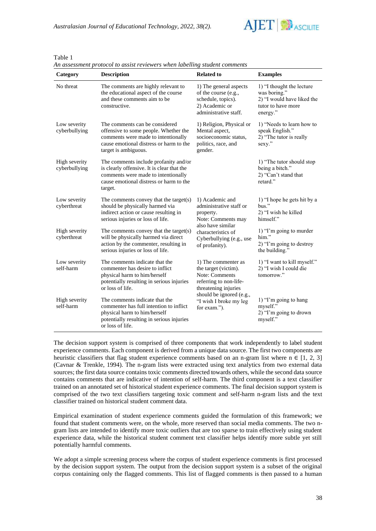*Australasian Journal of Educational Technology, 2022, 38(2).*



Table 1

| Category                       | <b>Description</b>                                                                                                                                                                                                                       | <b>Related to</b>                                                                                                                           | <b>Examples</b>                                                                                           |  |
|--------------------------------|------------------------------------------------------------------------------------------------------------------------------------------------------------------------------------------------------------------------------------------|---------------------------------------------------------------------------------------------------------------------------------------------|-----------------------------------------------------------------------------------------------------------|--|
| No threat                      | The comments are highly relevant to<br>the educational aspect of the course<br>and these comments aim to be<br>constructive.                                                                                                             | 1) The general aspects<br>of the course (e.g.,<br>schedule, topics).<br>2) Academic or<br>administrative staff.                             | 1) "I thought the lecture<br>was boring."<br>2) "I would have liked the<br>tutor to have more<br>energy." |  |
| Low severity<br>cyberbullying  | The comments can be considered<br>offensive to some people. Whether the<br>comments were made to intentionally<br>cause emotional distress or harm to the<br>target is ambiguous.                                                        | 1) Religion, Physical or<br>Mental aspect,<br>socioeconomic status,<br>politics, race, and<br>gender.                                       | 1) "Needs to learn how to<br>speak English."<br>2) "The tutor is really<br>sexy."                         |  |
| High severity<br>cyberbullying | The comments include profanity and/or<br>is clearly offensive. It is clear that the<br>comments were made to intentionally<br>cause emotional distress or harm to the<br>target.                                                         |                                                                                                                                             | 1) "The tutor should stop<br>being a bitch."<br>2) "Can't stand that<br>retard."                          |  |
| Low severity<br>cyberthreat    | The comments convey that the target(s)<br>1) Academic and<br>administrative staff or<br>should be physically harmed via<br>indirect action or cause resulting in<br>property.<br>serious injuries or loss of life.<br>Note: Comments may |                                                                                                                                             | 1) "I hope he gets hit by a<br>bus."<br>2) "I wish he killed<br>himself."                                 |  |
| High severity<br>cyberthreat   | The comments convey that the target(s)<br>will be physically harmed via direct<br>action by the commenter, resulting in<br>serious injuries or loss of life.                                                                             | also have similar<br>characteristics of<br>Cyberbullying (e.g., use<br>of profanity).                                                       | 1) "I'm going to murder<br>him."<br>2) "I'm going to destroy<br>the building."                            |  |
| Low severity<br>self-harm      | The comments indicate that the<br>commenter has desire to inflict<br>physical harm to him/herself<br>potentially resulting in serious injuries<br>or loss of life.                                                                       | 1) The commenter as<br>the target (victim).<br>Note: Comments<br>referring to non-life-<br>threatening injuries<br>should be ignored (e.g., | 1) "I want to kill myself."<br>2) "I wish I could die<br>tomorrow."                                       |  |
| High severity<br>self-harm     | The comments indicate that the<br>commenter has full intention to inflict<br>physical harm to him/herself<br>potentially resulting in serious injuries<br>or loss of life.                                                               | "I wish I broke my leg<br>for exam.").                                                                                                      | 1) "I'm going to hang<br>myself."<br>2) "I'm going to drown<br>myself."                                   |  |

*An assessment protocol to assist reviewers when labelling student comments*

The decision support system is comprised of three components that work independently to label student experience comments. Each component is derived from a unique data source. The first two components are heuristic classifiers that flag student experience comments based on an n-gram list where  $n \in [1, 2, 3]$ (Cavnar & Trenkle, 1994). The n-gram lists were extracted using text analytics from two external data sources; the first data source contains toxic comments directed towards others, while the second data source contains comments that are indicative of intention of self-harm. The third component is a text classifier trained on an annotated set of historical student experience comments. The final decision support system is comprised of the two text classifiers targeting toxic comment and self-harm n-gram lists and the text classifier trained on historical student comment data.

Empirical examination of student experience comments guided the formulation of this framework; we found that student comments were, on the whole, more reserved than social media comments. The two ngram lists are intended to identify more toxic outliers that are too sparse to train effectively using student experience data, while the historical student comment text classifier helps identify more subtle yet still potentially harmful comments.

We adopt a simple screening process where the corpus of student experience comments is first processed by the decision support system. The output from the decision support system is a subset of the original corpus containing only the flagged comments. This list of flagged comments is then passed to a human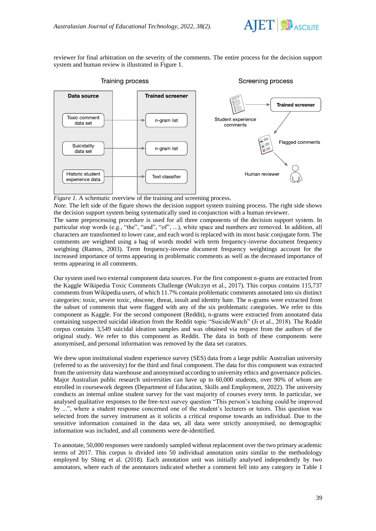

reviewer for final arbitration on the severity of the comments. The entire process for the decision support system and human review is illustrated in Figure 1.



Training process

Screening process

*Figure 1.* A schematic overview of the training and screening process.

*Note.* The left side of the figure shows the decision support system training process. The right side shows the decision support system being systematically used in conjunction with a human reviewer.

The same preprocessing procedure is used for all three components of the decision support system. In particular stop words (e.g., "the", "and", "of", ...), white space and numbers are removed. In addition, all characters are transformed to lower case, and each word is replaced with its most basic conjugate form. The comments are weighted using a bag of words model with term frequency-inverse document frequency weighting (Ramos, 2003). Term frequency-inverse document frequency weightings account for the increased importance of terms appearing in problematic comments as well as the decreased importance of terms appearing in all comments.

Our system used two external component data sources. For the first component n-grams are extracted from the Kaggle Wikipedia Toxic Comments Challenge (Wulczyn et al., 2017). This corpus contains 115,737 comments from Wikipedia users, of which 11.7% contain problematic comments annotated into six distinct categories: toxic, severe toxic, obscene, threat, insult and identity hate. The n-grams were extracted from the subset of comments that were flagged with any of the six problematic categories. We refer to this component as Kaggle. For the second component (Reddit), n-grams were extracted from annotated data containing suspected suicidal ideation from the Reddit topic "SuicideWatch" (Ji et al., 2018). The Reddit corpus contains 3,549 suicidal ideation samples and was obtained via request from the authors of the original study. We refer to this component as Reddit. The data in both of these components were anonymised, and personal information was removed by the data set curators.

We drew upon institutional student experience survey (SES) data from a large public Australian university (referred to as the university) for the third and final component. The data for this component was extracted from the university data warehouse and anonymised according to university ethics and governance policies. Major Australian public research universities can have up to 60,000 students, over 90% of whom are enrolled in coursework degrees (Department of Education, Skills and Employment, 2022). The university conducts an internal online student survey for the vast majority of courses every term. In particular, we analysed qualitative responses to the free-text survey question "This person's teaching could be improved by ...", where a student response concerned one of the student's lecturers or tutors. This question was selected from the survey instrument as it solicits a critical response towards an individual. Due to the sensitive information contained in the data set, all data were strictly anonymised, no demographic information was included, and all comments were de-identified.

To annotate, 50,000 responses were randomly sampled without replacement over the two primary academic terms of 2017. This corpus is divided into 50 individual annotation units similar to the methodology employed by Shing et al. (2018). Each annotation unit was initially analysed independently by two annotators, where each of the annotators indicated whether a comment fell into any category in Table 1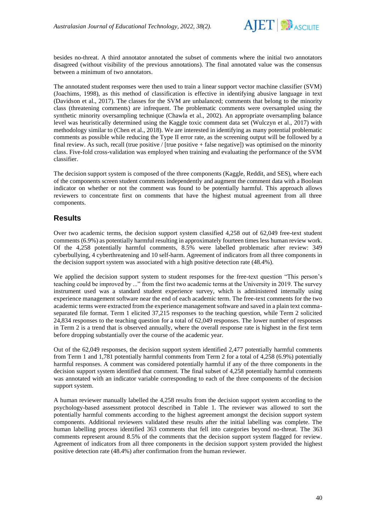

besides no-threat. A third annotator annotated the subset of comments where the initial two annotators disagreed (without visibility of the previous annotations). The final annotated value was the consensus between a minimum of two annotators.

The annotated student responses were then used to train a linear support vector machine classifier (SVM) (Joachims, 1998), as this method of classification is effective in identifying abusive language in text (Davidson et al., 2017). The classes for the SVM are unbalanced; comments that belong to the minority class (threatening comments) are infrequent. The problematic comments were oversampled using the synthetic minority oversampling technique (Chawla et al., 2002). An appropriate oversampling balance level was heuristically determined using the Kaggle toxic comment data set (Wulczyn et al., 2017) with methodology similar to (Chen et al., 2018). We are interested in identifying as many potential problematic comments as possible while reducing the Type II error rate, as the screening output will be followed by a final review. As such, recall (true positive / [true positive + false negative]) was optimised on the minority class. Five-fold cross-validation was employed when training and evaluating the performance of the SVM classifier.

The decision support system is composed of the three components (Kaggle, Reddit, and SES), where each of the components screen student comments independently and augment the comment data with a Boolean indicator on whether or not the comment was found to be potentially harmful. This approach allows reviewers to concentrate first on comments that have the highest mutual agreement from all three components.

# **Results**

Over two academic terms, the decision support system classified 4,258 out of 62,049 free-text student comments (6.9%) as potentially harmful resulting in approximately fourteen times less human review work. Of the 4,258 potentially harmful comments, 8.5% were labelled problematic after review: 349 cyberbullying, 4 cyberthreatening and 10 self-harm. Agreement of indicators from all three components in the decision support system was associated with a high positive detection rate (48.4%).

We applied the decision support system to student responses for the free-text question "This person's teaching could be improved by ..." from the first two academic terms at the University in 2019. The survey instrument used was a standard student experience survey, which is administered internally using experience management software near the end of each academic term. The free-text comments for the two academic terms were extracted from the experience management software and saved in a plain text commaseparated file format. Term 1 elicited 37,215 responses to the teaching question, while Term 2 solicited 24,834 responses to the teaching question for a total of 62,049 responses. The lower number of responses in Term 2 is a trend that is observed annually, where the overall response rate is highest in the first term before dropping substantially over the course of the academic year.

Out of the 62,049 responses, the decision support system identified 2,477 potentially harmful comments from Term 1 and 1,781 potentially harmful comments from Term 2 for a total of 4,258 (6.9%) potentially harmful responses. A comment was considered potentially harmful if any of the three components in the decision support system identified that comment. The final subset of 4,258 potentially harmful comments was annotated with an indicator variable corresponding to each of the three components of the decision support system.

A human reviewer manually labelled the 4,258 results from the decision support system according to the psychology-based assessment protocol described in Table 1. The reviewer was allowed to sort the potentially harmful comments according to the highest agreement amongst the decision support system components. Additional reviewers validated these results after the initial labelling was complete. The human labelling process identified 363 comments that fell into categories beyond no-threat. The 363 comments represent around 8.5% of the comments that the decision support system flagged for review. Agreement of indicators from all three components in the decision support system provided the highest positive detection rate (48.4%) after confirmation from the human reviewer.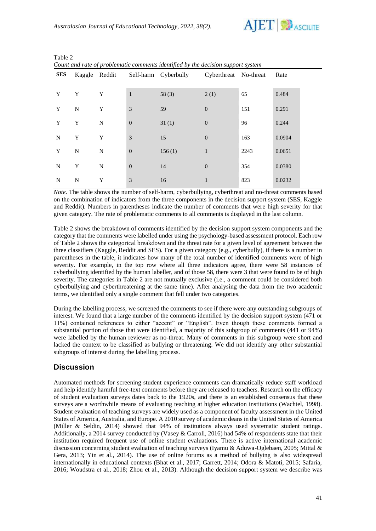

| <b>SES</b> |             | Kaggle Reddit |                  | Self-harm Cyberbully | Cyberthreat No-threat |      | Rate   |
|------------|-------------|---------------|------------------|----------------------|-----------------------|------|--------|
| Y          | Y           | Y             | 1                | 58(3)                | 2(1)                  | 65   | 0.484  |
| Y          | $\mathbf N$ | Y             | 3                | 59                   | $\boldsymbol{0}$      | 151  | 0.291  |
| Y          | Y           | N             | $\boldsymbol{0}$ | 31(1)                | $\mathbf{0}$          | 96   | 0.244  |
| N          | Y           | Y             | 3                | 15                   | $\mathbf{0}$          | 163  | 0.0904 |
| Y          | N           | N             | $\boldsymbol{0}$ | 156(1)               | $\mathbf{1}$          | 2243 | 0.0651 |
| N          | Y           | N             | $\boldsymbol{0}$ | 14                   | $\boldsymbol{0}$      | 354  | 0.0380 |
| N          | ${\bf N}$   | Y             | 3                | 16                   | 1                     | 823  | 0.0232 |

Table 2 *Count and rate of problematic comments identified by the decision support system*

*Note*. The table shows the number of self-harm, cyberbullying, cyberthreat and no-threat comments based on the combination of indicators from the three components in the decision support system (SES, Kaggle and Reddit). Numbers in parentheses indicate the number of comments that were high severity for that given category. The rate of problematic comments to all comments is displayed in the last column.

Table 2 shows the breakdown of comments identified by the decision support system components and the category that the comments were labelled under using the psychology-based assessment protocol. Each row of Table 2 shows the categorical breakdown and the threat rate for a given level of agreement between the three classifiers (Kaggle, Reddit and SES). For a given category (e.g., cyberbully), if there is a number in parentheses in the table, it indicates how many of the total number of identified comments were of high severity. For example, in the top row where all three indicators agree, there were 58 instances of cyberbullying identified by the human labeller, and of those 58, there were 3 that were found to be of high severity. The categories in Table 2 are not mutually exclusive (i.e., a comment could be considered both cyberbullying and cyberthreatening at the same time). After analysing the data from the two academic terms, we identified only a single comment that fell under two categories.

During the labelling process, we screened the comments to see if there were any outstanding subgroups of interest. We found that a large number of the comments identified by the decision support system (471 or 11%) contained references to either "accent" or "English". Even though these comments formed a substantial portion of those that were identified, a majority of this subgroup of comments (441 or 94%) were labelled by the human reviewer as no-threat. Many of comments in this subgroup were short and lacked the context to be classified as bullying or threatening. We did not identify any other substantial subgroups of interest during the labelling process.

## **Discussion**

Automated methods for screening student experience comments can dramatically reduce staff workload and help identify harmful free-text comments before they are released to teachers. Research on the efficacy of student evaluation surveys dates back to the 1920s, and there is an established consensus that these surveys are a worthwhile means of evaluating teaching at higher education institutions (Wachtel, 1998). Student evaluation of teaching surveys are widely used as a component of faculty assessment in the United States of America, Australia, and Europe. A 2010 survey of academic deans in the United States of America (Miller & Seldin, 2014) showed that 94% of institutions always used systematic student ratings. Additionally, a 2014 survey conducted by (Vasey & Carroll, 2016) had 54% of respondents state that their institution required frequent use of online student evaluations. There is active international academic discussion concerning student evaluation of teaching surveys (Iyamu & Aduwa-Oglebaen, 2005; Mittal & Gera, 2013; Yin et al., 2014). The use of online forums as a method of bullying is also widespread internationally in educational contexts (Bhat et al., 2017; Garrett, 2014; Odora & Matoti, 2015; Safaria, 2016; Woudstra et al., 2018; Zhou et al., 2013). Although the decision support system we describe was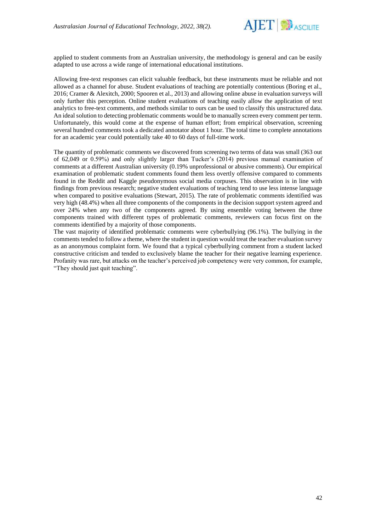

applied to student comments from an Australian university, the methodology is general and can be easily adapted to use across a wide range of international educational institutions.

Allowing free-text responses can elicit valuable feedback, but these instruments must be reliable and not allowed as a channel for abuse. Student evaluations of teaching are potentially contentious (Boring et al., 2016; Cramer & Alexitch, 2000; Spooren et al., 2013) and allowing online abuse in evaluation surveys will only further this perception. Online student evaluations of teaching easily allow the application of text analytics to free-text comments, and methods similar to ours can be used to classify this unstructured data. An ideal solution to detecting problematic comments would be to manually screen every comment per term. Unfortunately, this would come at the expense of human effort; from empirical observation, screening several hundred comments took a dedicated annotator about 1 hour. The total time to complete annotations for an academic year could potentially take 40 to 60 days of full-time work.

The quantity of problematic comments we discovered from screening two terms of data was small (363 out of 62,049 or 0.59%) and only slightly larger than Tucker's (2014) previous manual examination of comments at a different Australian university (0.19% unprofessional or abusive comments). Our empirical examination of problematic student comments found them less overtly offensive compared to comments found in the Reddit and Kaggle pseudonymous social media corpuses. This observation is in line with findings from previous research; negative student evaluations of teaching tend to use less intense language when compared to positive evaluations (Stewart, 2015). The rate of problematic comments identified was very high (48.4%) when all three components of the components in the decision support system agreed and over 24% when any two of the components agreed. By using ensemble voting between the three components trained with different types of problematic comments, reviewers can focus first on the comments identified by a majority of those components.

The vast majority of identified problematic comments were cyberbullying (96.1%). The bullying in the comments tended to follow a theme, where the student in question would treat the teacher evaluation survey as an anonymous complaint form. We found that a typical cyberbullying comment from a student lacked constructive criticism and tended to exclusively blame the teacher for their negative learning experience. Profanity was rare, but attacks on the teacher's perceived job competency were very common, for example, "They should just quit teaching".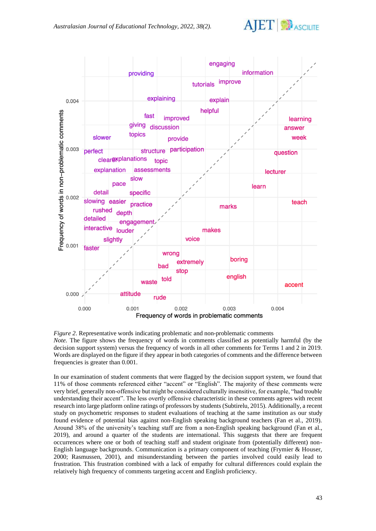



*Figure 2*. Representative words indicating problematic and non-problematic comments *Note.* The figure shows the frequency of words in comments classified as potentially harmful (by the decision support system) versus the frequency of words in all other comments for Terms 1 and 2 in 2019. Words are displayed on the figure if they appear in both categories of comments and the difference between frequencies is greater than 0.001.

In our examination of student comments that were flagged by the decision support system, we found that 11% of those comments referenced either "accent" or "English". The majority of these comments were very brief, generally non-offensive but might be considered culturally insensitive, for example, "had trouble understanding their accent". The less overtly offensive characteristic in these comments agrees with recent research into large platform online ratings of professors by students (Subtirelu, 2015). Additionally, a recent study on psychometric responses to student evaluations of teaching at the same institution as our study found evidence of potential bias against non-English speaking background teachers (Fan et al., 2019). Around 38% of the university's teaching staff are from a non-English speaking background (Fan et al., 2019), and around a quarter of the students are international. This suggests that there are frequent occurrences where one or both of teaching staff and student originate from (potentially different) non-English language backgrounds. Communication is a primary component of teaching (Frymier & Houser, 2000; Rasmussen, 2001), and misunderstanding between the parties involved could easily lead to frustration. This frustration combined with a lack of empathy for cultural differences could explain the relatively high frequency of comments targeting accent and English proficiency.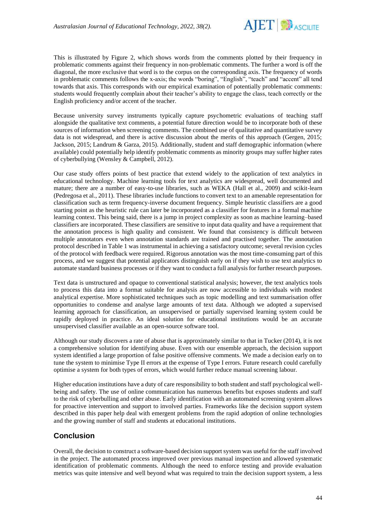

This is illustrated by Figure 2, which shows words from the comments plotted by their frequency in problematic comments against their frequency in non-problematic comments. The further a word is off the diagonal, the more exclusive that word is to the corpus on the corresponding axis. The frequency of words in problematic comments follows the x-axis; the words "boring", "English", "teach" and "accent" all tend towards that axis. This corresponds with our empirical examination of potentially problematic comments: students would frequently complain about their teacher's ability to engage the class, teach correctly or the English proficiency and/or accent of the teacher.

Because university survey instruments typically capture psychometric evaluations of teaching staff alongside the qualitative text comments, a potential future direction would be to incorporate both of these sources of information when screening comments. The combined use of qualitative and quantitative survey data is not widespread, and there is active discussion about the merits of this approach (Gergen, 2015; Jackson, 2015; Landrum & Garza, 2015). Additionally, student and staff demographic information (where available) could potentially help identify problematic comments as minority groups may suffer higher rates of cyberbullying (Wensley & Campbell, 2012).

Our case study offers points of best practice that extend widely to the application of text analytics in educational technology. Machine learning tools for text analytics are widespread, well documented and mature; there are a number of easy-to-use libraries, such as WEKA (Hall et al., 2009) and scikit-learn (Pedregosa et al., 2011). These libraries include functions to convert text to an amenable representation for classification such as term frequency-inverse document frequency. Simple heuristic classifiers are a good starting point as the heuristic rule can later be incorporated as a classifier for features in a formal machine learning context. This being said, there is a jump in project complexity as soon as machine learning–based classifiers are incorporated. These classifiers are sensitive to input data quality and have a requirement that the annotation process is high quality and consistent. We found that consistency is difficult between multiple annotators even when annotation standards are trained and practised together. The annotation protocol described in Table 1 was instrumental in achieving a satisfactory outcome; several revision cycles of the protocol with feedback were required. Rigorous annotation was the most time-consuming part of this process, and we suggest that potential applicators distinguish early on if they wish to use text analytics to automate standard business processes or if they want to conduct a full analysis for further research purposes.

Text data is unstructured and opaque to conventional statistical analysis; however, the text analytics tools to process this data into a format suitable for analysis are now accessible to individuals with modest analytical expertise. More sophisticated techniques such as topic modelling and text summarisation offer opportunities to condense and analyse large amounts of text data. Although we adopted a supervised learning approach for classification, an unsupervised or partially supervised learning system could be rapidly deployed in practice. An ideal solution for educational institutions would be an accurate unsupervised classifier available as an open-source software tool.

Although our study discovers a rate of abuse that is approximately similar to that in Tucker (2014), it is not a comprehensive solution for identifying abuse. Even with our ensemble approach, the decision support system identified a large proportion of false positive offensive comments. We made a decision early on to tune the system to minimise Type II errors at the expense of Type I errors. Future research could carefully optimise a system for both types of errors, which would further reduce manual screening labour.

Higher education institutions have a duty of care responsibility to both student and staff psychological wellbeing and safety. The use of online communication has numerous benefits but exposes students and staff to the risk of cyberbulling and other abuse. Early identification with an automated screening system allows for proactive intervention and support to involved parties. Frameworks like the decision support system described in this paper help deal with emergent problems from the rapid adoption of online technologies and the growing number of staff and students at educational institutions.

## **Conclusion**

Overall, the decision to construct a software-based decision support system was useful for the staff involved in the project. The automated process improved over previous manual inspection and allowed systematic identification of problematic comments. Although the need to enforce testing and provide evaluation metrics was quite intensive and well beyond what was required to train the decision support system, a less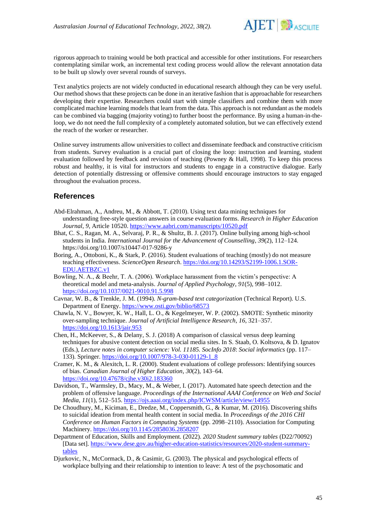

rigorous approach to training would be both practical and accessible for other institutions. For researchers contemplating similar work, an incremental text coding process would allow the relevant annotation data to be built up slowly over several rounds of surveys.

Text analytics projects are not widely conducted in educational research although they can be very useful. Our method shows that these projects can be done in an iterative fashion that is approachable for researchers developing their expertise. Researchers could start with simple classifiers and combine them with more complicated machine learning models that learn from the data. This approach is not redundant as the models can be combined via bagging (majority voting) to further boost the performance. By using a human-in-theloop, we do not need the full complexity of a completely automated solution, but we can effectively extend the reach of the worker or researcher.

Online survey instruments allow universities to collect and disseminate feedback and constructive criticism from students. Survey evaluation is a crucial part of closing the loop: instruction and learning, student evaluation followed by feedback and revision of teaching (Powney & Hall, 1998). To keep this process robust and healthy, it is vital for instructors and students to engage in a constructive dialogue. Early detection of potentially distressing or offensive comments should encourage instructors to stay engaged throughout the evaluation process.

### **References**

- Abd-Elrahman, A., Andreu, M., & Abbott, T. (2010). Using text data mining techniques for understanding free-style question answers in course evaluation forms. *Research in Higher Education Journal*, *9*, Article 10520[. https://www.aabri.com/manuscripts/10520.pdf](https://www.aabri.com/manuscripts/10520.pdf)
- Bhat, C. S., Ragan, M. A., Selvaraj, P. R., & Shultz, B. J. (2017). Online bullying among high-school students in India. *International Journal for the Advancement of Counselling*, *39*(2), 112–124. https://doi.org/10.1007/s10447-017-9286-y
- Boring, A., Ottoboni, K., & Stark, P. (2016). Student evaluations of teaching (mostly) do not measure teaching effectiveness. *ScienceOpen Research*[. https://doi.org/10.14293/S2199-1006.1.SOR-](https://doi.org/10.14293/S2199-1006.1.SOR-EDU.AETBZC.v1)[EDU.AETBZC.v1](https://doi.org/10.14293/S2199-1006.1.SOR-EDU.AETBZC.v1)
- Bowling, N. A., & Beehr, T. A. (2006). Workplace harassment from the victim's perspective: A theoretical model and meta-analysis. *Journal of Applied Psychology*, *91*(5), 998–1012. <https://doi.org/10.1037/0021-9010.91.5.998>
- Cavnar, W. B., & Trenkle, J. M. (1994). *N-gram-based text categorization* (Technical Report). U.S. Department of Energy.<https://www.osti.gov/biblio/68573>
- Chawla, N. V., Bowyer, K. W., Hall, L. O., & Kegelmeyer, W. P. (2002). SMOTE: Synthetic minority over-sampling technique. *Journal of Artificial Intelligence Research*, *16*, 321–357. <https://doi.org/10.1613/jair.953>
- Chen, H., McKeever, S., & Delany, S. J. (2018) A comparison of classical versus deep learning techniques for abusive content detection on social media sites. In S. Staab, O. Koltsova, & D. Ignatov (Eds.), *Lecture notes in computer science: Vol. 11185. SocInfo 2018*: *Social informatics* (pp. 117– 133). Springer. [https://doi.org/10.1007/978-3-030-01129-1\\_8](https://doi.org/10.1007/978-3-030-01129-1_8)
- Cramer, K. M., & Alexitch, L. R. (2000). Student evaluations of college professors: Identifying sources of bias. *Canadian Journal of Higher Education*, *30*(2), 143–64. <https://doi.org/10.47678/cjhe.v30i2.183360>
- Davidson, T., Warmsley, D., Macy, M., & Weber, I. (2017). Automated hate speech detection and the problem of offensive language. *Proceedings of the International AAAI Conference on Web and Social Media*, *11*(1), 512–515.<https://ojs.aaai.org/index.php/ICWSM/article/view/14955>
- De Choudhury, M., Kiciman, E., Dredze, M., Coppersmith, G., & Kumar, M. (2016). Discovering shifts to suicidal ideation from mental health content in social media. In *Proceedings of the 2016 CHI Conference on Human Factors in Computing Systems* (pp. 2098–2110). Association for Computing Machinery[. https://doi.org/10.1145/2858036.2858207](https://doi.org/10.1145/2858036.2858207)
- Department of Education, Skills and Employment. (2022). *2020 Student summary tables* (D22/70092) [Data set]. [https://www.dese.gov.au/higher-education-statistics/resources/2020-student-summary](https://www.dese.gov.au/higher-education-statistics/resources/2020-student-summary-tables)[tables](https://www.dese.gov.au/higher-education-statistics/resources/2020-student-summary-tables)
- Djurkovic, N., McCormack, D., & Casimir, G. (2003). The physical and psychological effects of workplace bullying and their relationship to intention to leave: A test of the psychosomatic and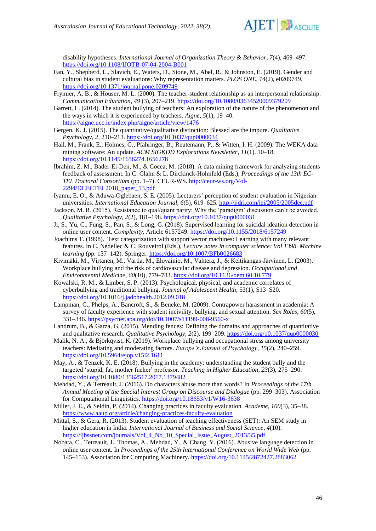

disability hypotheses. *International Journal of Organization Theory & Behavior*, *7*(4), 469–497. <https://doi.org/10.1108/IJOTB-07-04-2004-B001>

- Fan, Y., Shepherd, L., Slavich, E., Waters, D., Stone, M., Abel, R., & Johnston, E. (2019). Gender and cultural bias in student evaluations: Why representation matters. *PLOS ONE*, *14*(2), e0209749. <https://doi.org/10.1371/journal.pone.0209749>
- Frymier, A. B., & Houser, M. L. (2000). The teacher-student relationship as an interpersonal relationship. *Communication Education*, *49* (3), 207–219.<https://doi.org/10.1080/03634520009379209>
- Garrett, L. (2014). The student bullying of teachers: An exploration of the nature of the phenomenon and the ways in which it is experienced by teachers. *Aigne*, *5*(1), 19–40. <https://aigne.ucc.ie/index.php/aigne/article/view/1476>
- Gergen, K. J. (2015). The quantitative/qualitative distinction: Blessed are the impure. *Qualitative Psychology*, *2*, 210–213[. https://doi.org/10.1037/qup0000034](https://doi.org/10.1037/qup0000034)
- Hall, M., Frank, E., Holmes, G., Pfahringer, B., Reutemann, P., & Witten, I. H. (2009). The WEKA data mining software: An update. *ACM SIGKDD Explorations Newsletter*, *11*(1), 10–18. <https://doi.org/10.1145/1656274.1656278>
- Ibrahim, Z. M., Bader-El-Den, M., & Cocea, M. (2018). A data mining framework for analyzing students feedback of assessment. In C. Glahn & L. Dirckinck-Holmfeld (Eds.), *Proceedings of the 13th EC-TEL Doctoral Consortium* (pp. 1–7). CEUR-WS. [http://ceur-ws.org/Vol-](http://ceur-ws.org/Vol-2294/DCECTEL2018_paper_13.pdf)[2294/DCECTEL2018\\_paper\\_13.pdf](http://ceur-ws.org/Vol-2294/DCECTEL2018_paper_13.pdf)
- Iyamu, E. O., & Aduwa-Oglebaen, S. E. (2005). Lecturers' perception of student evaluation in Nigerian universities. *International Education Journal*, *6*(5), 619–625. <http://ijdri.com/iej/2005/2005dec.pdf>
- Jackson, M. R. (2015). Resistance to qual/quant parity: Why the 'paradigm' discussion can't be avoided. *Qualitative Psychology*, *2*(2), 181–198[. https://doi.org/10.1037/qup0000031](https://doi.org/10.1037/qup0000031)
- Ji, S., Yu, C., Fung, S., Pan, S., & Long, G. (2018). Supervised learning for suicidal ideation detection in online user content. *Complexity*, Article 6157249. <https://doi.org/10.1155/2018/6157249>
- Joachims T. (1998). Text categorization with support vector machines: Learning with many relevant features. In C. Nédellec & C. Rouveirol (Eds.), *Lecture notes in computer science: Vol 1398. Machine learning* (pp. 137–142). Springer[. https://doi.org/10.1007/BFb0026683](https://doi.org/10.1007/BFb0026683)
- Kivimäki, M., Virtanen, M., Vartia, M., Elovainio, M., Vahtera, J., & Keltikangas-Järvinen, L. (2003). Workplace bullying and the risk of cardiovascular disease and depression. *Occupational and Environmental Medicine, 60*(10), 779–783.<https://doi.org/10.1136/oem.60.10.779>
- Kowalski, R. M., & Limber, S. P. (2013). Psychological, physical, and academic correlates of cyberbullying and traditional bullying. *Journal of Adolescent Health*, 53(1), S13–S20. <https://doi.org/10.1016/j.jadohealth.2012.09.018>
- Lampman, C., Phelps, A., Bancroft, S., & Beneke, M. (2009). Contrapower harassment in academia: A survey of faculty experience with student incivility, bullying, and sexual attention. *Sex Roles*, *60*(5), 331–346.<https://psycnet.apa.org/doi/10.1007/s11199-008-9560-x>
- Landrum, B., & Garza, G. (2015). Mending fences: Defining the domains and approaches of quantitative and qualitative research. *Qualitative Psychology*, 2(2), 199-209[. https://doi.org/10.1037/qup0000030](https://doi.org/10.1037/qup0000030)
- Malik, N. A., & Björkqvist, K. (2019). Workplace bullying and occupational stress among university teachers: Mediating and moderating factors. *Europe's Journal of Psychology*, *15*(2), 240–259. <https://doi.org/10.5964/ejop.v15i2.1611>
- May, A., & Tenzek, K. E. (2018). Bullying in the academy: understanding the student bully and the targeted 'stupid, fat, mother fucker' professor. *Teaching in Higher Education*, *23*(3), 275–290. <https://doi.org/10.1080/13562517.2017.1379482>
- Mehdad, Y., & Tetreault, J. (2016). Do characters abuse more than words? In *Proceedings of the 17th Annual Meeting of the Special Interest Group on Discourse and Dialogue* (pp. 299–303). Association for Computational Linguistics.<https://doi.org/10.18653/v1/W16-3638>
- Miller, J. E., & Seldin, P. (2014). Changing practices in faculty evaluation. *Academe*, *100*(3), 35–38. <https://www.aaup.org/article/changing-practices-faculty-evaluation>
- Mittal, S., & Gera, R. (2013). Student evaluation of teaching effectiveness (SET): An SEM study in higher education in India. *International Journal of Business and Social Science*, *4*(10). [https://ijbssnet.com/journals/Vol\\_4\\_No\\_10\\_Special\\_Issue\\_August\\_2013/35.pdf](https://ijbssnet.com/journals/Vol_4_No_10_Special_Issue_August_2013/35.pdf)
- Nobata, C., Tetreault, J., Thomas, A., Mehdad, Y., & Chang, Y. (2016). Abusive language detection in online user content. In *Proceedings of the 25th International Conference on World Wide Web* (pp. 145–153). Association for Computing Machinery.<https://doi.org/10.1145/2872427.2883062>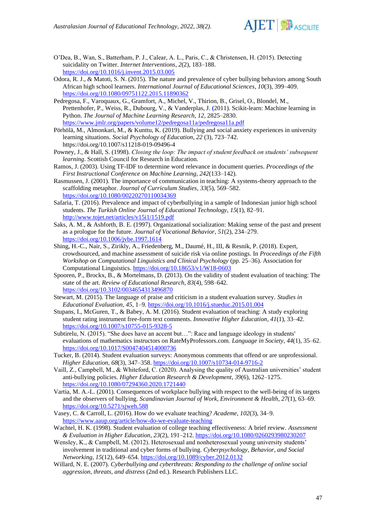

- O'Dea, B., Wan, S., Batterham, P. J., Calear, A. L., Paris, C., & Christensen, H. (2015). Detecting suicidality on Twitter. *Internet Interventions*, *2*(2), 183–188. <https://doi.org/10.1016/j.invent.2015.03.005>
- Odora, R. J., & Matoti, S. N. (2015). The nature and prevalence of cyber bullying behaviors among South African high school learners. *International Journal of Educational Sciences*, *10*(3), 399–409. <https://doi.org/10.1080/09751122.2015.11890362>
- Pedregosa, F., Varoquaux, G., Gramfort, A., Michel, V., Thirion, B., Grisel, O., Blondel, M., Prettenhofer, P., Weiss, R., Dubourg, V., & Vanderplas, J. **(**2011). Scikit-learn: Machine learning in Python. *The Journal of Machine Learning Research*, *12*, 2825–2830. <https://www.jmlr.org/papers/volume12/pedregosa11a/pedregosa11a.pdf>
- Pörhölä, M., Almonkari, M., & Kunttu, K. (2019). Bullying and social anxiety experiences in university learning situations. *Social Psychology of Education*, *22* (3), 723–742. https://doi.org/10.1007/s11218-019-09496-4
- Powney, J., & Hall, S. (1998). *Closing the loop: The impact of student feedback on students' subsequent learning*. Scottish Council for Research in Education.
- Ramos, J. (2003). Using TF-IDF to determine word relevance in document queries. *Proceedings of the First Instructional Conference on Machine Learning, 242*(133–142).
- Rasmussen, J. (2001). The importance of communication in teaching: A systems-theory approach to the scaffolding metaphor. *Journal of Curriculum Studies*, *33*(5), 569–582. <https://doi.org/10.1080/00220270110034369>
- Safaria, T. (2016). Prevalence and impact of cyberbullying in a sample of Indonesian junior high school students. *The Turkish Online Journal of Educational Technology*, *15*(1), 82–91. <http://www.tojet.net/articles/v15i1/1519.pdf>
- Saks, A. M., & Ashforth, B. E. (1997). Organizational socialization: Making sense of the past and present as a prologue for the future. *Journal of Vocational Behavior*, *51*(2), 234–279. <https://doi.org/10.1006/jvbe.1997.1614>
- Shing, H.-C., Nair, S., Zirikly, A., Friedenberg, M., Daumé, H., III, & Resnik, P. (2018). Expert, crowdsourced, and machine assessment of suicide risk via online postings. In *Proceedings of the Fifth Workshop on Computational Linguistics and Clinical Psychology* (pp. 25–36). Association for Computational Linguistics[. https://doi.org/10.18653/v1/W18-0603](https://doi.org/10.18653/v1/W18-0603)
- Spooren, P., Brockx, B., & Mortelmans, D. (2013). On the validity of student evaluation of teaching: The state of the art. *Review of Educational Research*, *83*(4), 598–642. <https://doi.org/10.3102/0034654313496870>
- Stewart, M. (2015). The language of praise and criticism in a student evaluation survey. *Studies in Educational Evaluation*, *45*, 1–9.<https://doi.org/10.1016/j.stueduc.2015.01.004>
- Stupans, I., McGuren, T., & Babey, A. M. (2016). Student evaluation of teaching: A study exploring student rating instrument free-form text comments. *Innovative Higher Education*, *41*(1), 33–42. <https://doi.org/10.1007/s10755-015-9328-5>
- Subtirelu, N. (2015). "She does have an accent but…": Race and language ideology in students' evaluations of mathematics instructors on RateMyProfessors.com. *Language in Society, 44*(1), 35–62. <https://doi.org/10.1017/S0047404514000736>
- Tucker, B. (2014). Student evaluation surveys: Anonymous comments that offend or are unprofessional. *Higher Education*, *68*(3), 347–358. [https://doi.org/10.1007/s10734-014-9716-2](https://doi.org/10.1017/S0047404514000736)
- Vaill, Z., Campbell, M., & Whiteford, C. (2020). Analysing the quality of Australian universities' student anti-bullying policies. *Higher Education Research & Development*, *39*(6), 1262–1275. <https://doi.org/10.1080/07294360.2020.1721440>
- Vartia, M. A.-L. (2001). Consequences of workplace bullying with respect to the well-being of its targets and the observers of bullying. *Scandinavian Journal of Work, Environment & Health*, *27*(1), 63–69. <https://doi.org/10.5271/sjweh.588>
- Vasey, C. & Carroll, L. (2016). How do we evaluate teaching? *Academe, 102*(3), 34–9. <https://www.aaup.org/article/how-do-we-evaluate-teaching>
- Wachtel, H. K. (1998). Student evaluation of college teaching effectiveness: A brief review. *Assessment & Evaluation in Higher Education*, *23*(2), 191–212. <https://doi.org/10.1080/0260293980230207>
- Wensley, K., & Campbell, M. (2012). Heterosexual and nonheterosexual young university students' involvement in traditional and cyber forms of bullying. *Cyberpsychology, Behavior, and Social Networking*, *15*(12), 649–654[. https://doi.org/10.1089/cyber.2012.0132](https://doi.org/10.1089/cyber.2012.0132)
- Willard, N. E. (2007). *Cyberbullying and cyberthreats: Responding to the challenge of online social aggression, threats, and distress* (2nd ed.). Research Publishers LLC.